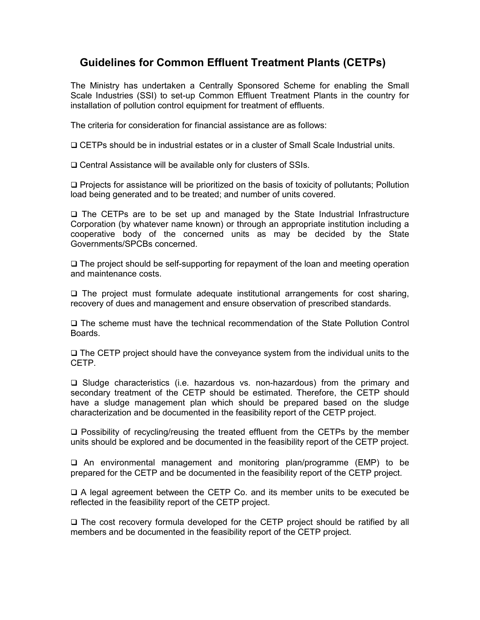## Guidelines for Common Effluent Treatment Plants (CETPs)

The Ministry has undertaken a Centrally Sponsored Scheme for enabling the Small Scale Industries (SSI) to set-up Common Effluent Treatment Plants in the country for installation of pollution control equipment for treatment of effluents.

The criteria for consideration for financial assistance are as follows:

CETPs should be in industrial estates or in a cluster of Small Scale Industrial units.

Central Assistance will be available only for clusters of SSIs.

 $\Box$  Projects for assistance will be prioritized on the basis of toxicity of pollutants; Pollution load being generated and to be treated; and number of units covered.

 The CETPs are to be set up and managed by the State Industrial Infrastructure Corporation (by whatever name known) or through an appropriate institution including a cooperative body of the concerned units as may be decided by the State Governments/SPCBs concerned.

 $\Box$  The project should be self-supporting for repayment of the loan and meeting operation and maintenance costs.

 $\Box$  The project must formulate adequate institutional arrangements for cost sharing, recovery of dues and management and ensure observation of prescribed standards.

 The scheme must have the technical recommendation of the State Pollution Control Boards.

□ The CETP project should have the conveyance system from the individual units to the CETP.

□ Sludge characteristics (i.e. hazardous vs. non-hazardous) from the primary and secondary treatment of the CETP should be estimated. Therefore, the CETP should have a sludge management plan which should be prepared based on the sludge characterization and be documented in the feasibility report of the CETP project.

 $\Box$  Possibility of recycling/reusing the treated effluent from the CETPs by the member units should be explored and be documented in the feasibility report of the CETP project.

 An environmental management and monitoring plan/programme (EMP) to be prepared for the CETP and be documented in the feasibility report of the CETP project.

 A legal agreement between the CETP Co. and its member units to be executed be reflected in the feasibility report of the CETP project.

 $\Box$  The cost recovery formula developed for the CETP project should be ratified by all members and be documented in the feasibility report of the CETP project.